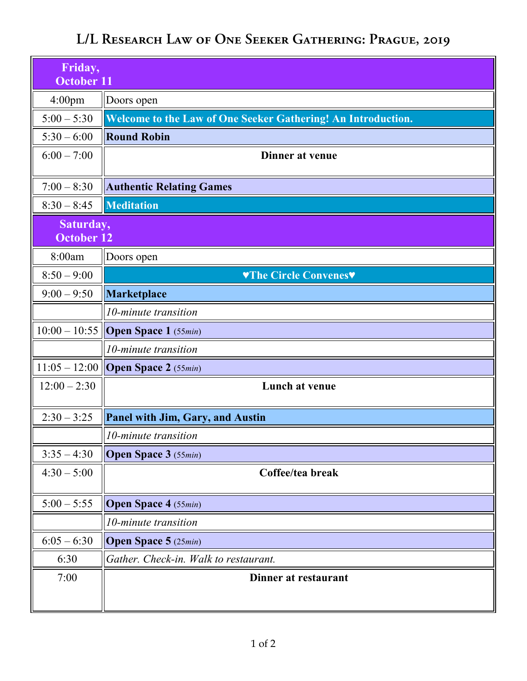## **L/L Research Law of One Seeker Gathering: Prague, 2019**

| Friday,<br>October 11          |                                                              |
|--------------------------------|--------------------------------------------------------------|
| 4:00 <sub>pm</sub>             | Doors open                                                   |
| $5:00 - 5:30$                  | Welcome to the Law of One Seeker Gathering! An Introduction. |
| $5:30 - 6:00$                  | <b>Round Robin</b>                                           |
| $6:00 - 7:00$                  | <b>Dinner at venue</b>                                       |
| $7:00 - 8:30$                  | <b>Authentic Relating Games</b>                              |
| $8:30 - 8:45$                  | <b>Meditation</b>                                            |
| Saturday,<br><b>October 12</b> |                                                              |
| 8:00am                         | Doors open                                                   |
| $8:50 - 9:00$                  | VThe Circle Convenes                                         |
| $9:00 - 9:50$                  | Marketplace                                                  |
|                                | 10-minute transition                                         |
| $10:00 - 10:55$                | <b>Open Space 1</b> $(55min)$                                |
|                                | 10-minute transition                                         |
|                                | $11:05 - 12:00$ Open Space 2 (55min)                         |
| $12:00 - 2:30$                 | Lunch at venue                                               |
| $2:30 - 3:25$                  | <b>Panel with Jim, Gary, and Austin</b>                      |
|                                | 10-minute transition                                         |
| $3:35 - 4:30$                  | <b>Open Space 3</b> (55min)                                  |
| $4:30 - 5:00$                  | Coffee/tea break                                             |
| $5:00 - 5:55$                  | <b>Open Space 4</b> (55min)                                  |
|                                | 10-minute transition                                         |
| $6:05 - 6:30$                  | <b>Open Space 5</b> (25min)                                  |
| 6:30                           | Gather. Check-in. Walk to restaurant.                        |
| 7:00                           | Dinner at restaurant                                         |